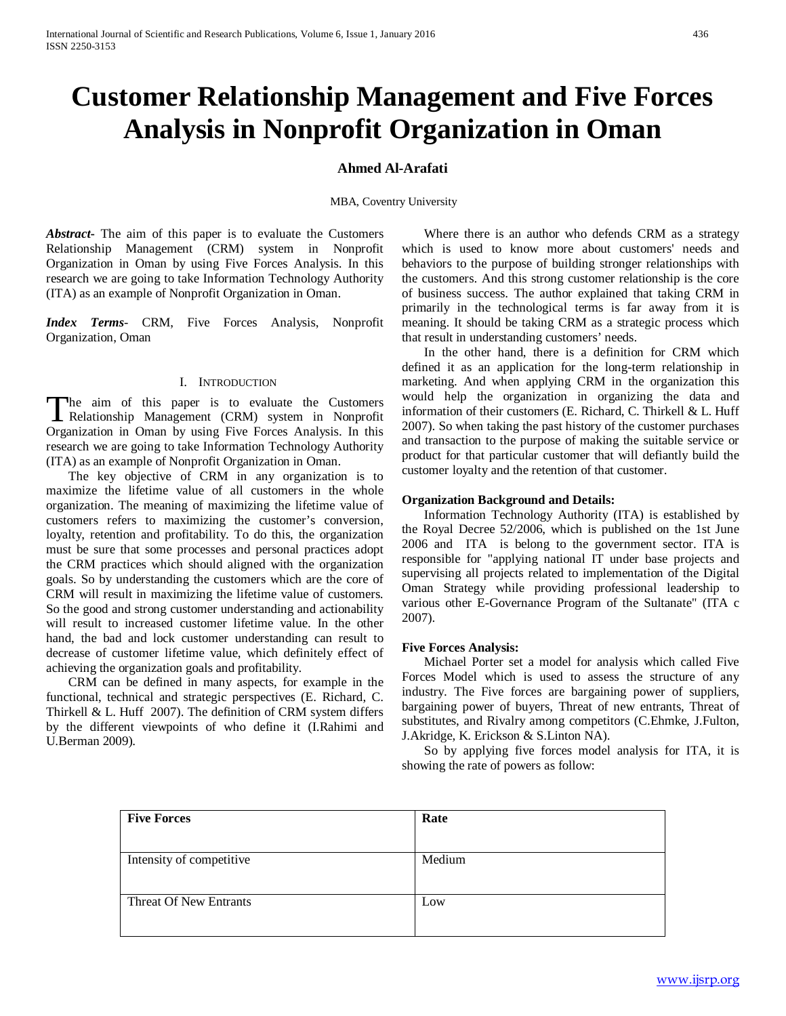# **Customer Relationship Management and Five Forces Analysis in Nonprofit Organization in Oman**

# **Ahmed Al-Arafati**

MBA, Coventry University

*Abstract***-** The aim of this paper is to evaluate the Customers Relationship Management (CRM) system in Nonprofit Organization in Oman by using Five Forces Analysis. In this research we are going to take Information Technology Authority (ITA) as an example of Nonprofit Organization in Oman.

*Index Terms*- CRM, Five Forces Analysis, Nonprofit Organization, Oman

#### I. INTRODUCTION

The aim of this paper is to evaluate the Customers The aim of this paper is to evaluate the Customers<br>
Relationship Management (CRM) system in Nonprofit Organization in Oman by using Five Forces Analysis. In this research we are going to take Information Technology Authority (ITA) as an example of Nonprofit Organization in Oman.

 The key objective of CRM in any organization is to maximize the lifetime value of all customers in the whole organization. The meaning of maximizing the lifetime value of customers refers to maximizing the customer's conversion, loyalty, retention and profitability. To do this, the organization must be sure that some processes and personal practices adopt the CRM practices which should aligned with the organization goals. So by understanding the customers which are the core of CRM will result in maximizing the lifetime value of customers. So the good and strong customer understanding and actionability will result to increased customer lifetime value. In the other hand, the bad and lock customer understanding can result to decrease of customer lifetime value, which definitely effect of achieving the organization goals and profitability.

 CRM can be defined in many aspects, for example in the functional, technical and strategic perspectives (E. Richard, C. Thirkell & L. Huff 2007). The definition of CRM system differs by the different viewpoints of who define it (I.Rahimi and U.Berman 2009).

 Where there is an author who defends CRM as a strategy which is used to know more about customers' needs and behaviors to the purpose of building stronger relationships with the customers. And this strong customer relationship is the core of business success. The author explained that taking CRM in primarily in the technological terms is far away from it is meaning. It should be taking CRM as a strategic process which that result in understanding customers' needs.

 In the other hand, there is a definition for CRM which defined it as an application for the long-term relationship in marketing. And when applying CRM in the organization this would help the organization in organizing the data and information of their customers (E. Richard, C. Thirkell & L. Huff 2007). So when taking the past history of the customer purchases and transaction to the purpose of making the suitable service or product for that particular customer that will defiantly build the customer loyalty and the retention of that customer.

#### **Organization Background and Details:**

 Information Technology Authority (ITA) is established by the Royal Decree 52/2006, which is published on the 1st June 2006 and ITA is belong to the government sector. ITA is responsible for "applying national IT under base projects and supervising all projects related to implementation of the Digital Oman Strategy while providing professional leadership to various other E-Governance Program of the Sultanate" (ITA c 2007).

#### **Five Forces Analysis:**

 Michael Porter set a model for analysis which called Five Forces Model which is used to assess the structure of any industry. The Five forces are bargaining power of suppliers, bargaining power of buyers, Threat of new entrants, Threat of substitutes, and Rivalry among competitors (C.Ehmke, J.Fulton, J.Akridge, K. Erickson & S.Linton NA).

 So by applying five forces model analysis for ITA, it is showing the rate of powers as follow:

| <b>Five Forces</b>       | Rate   |
|--------------------------|--------|
| Intensity of competitive | Medium |
| Threat Of New Entrants   | Low    |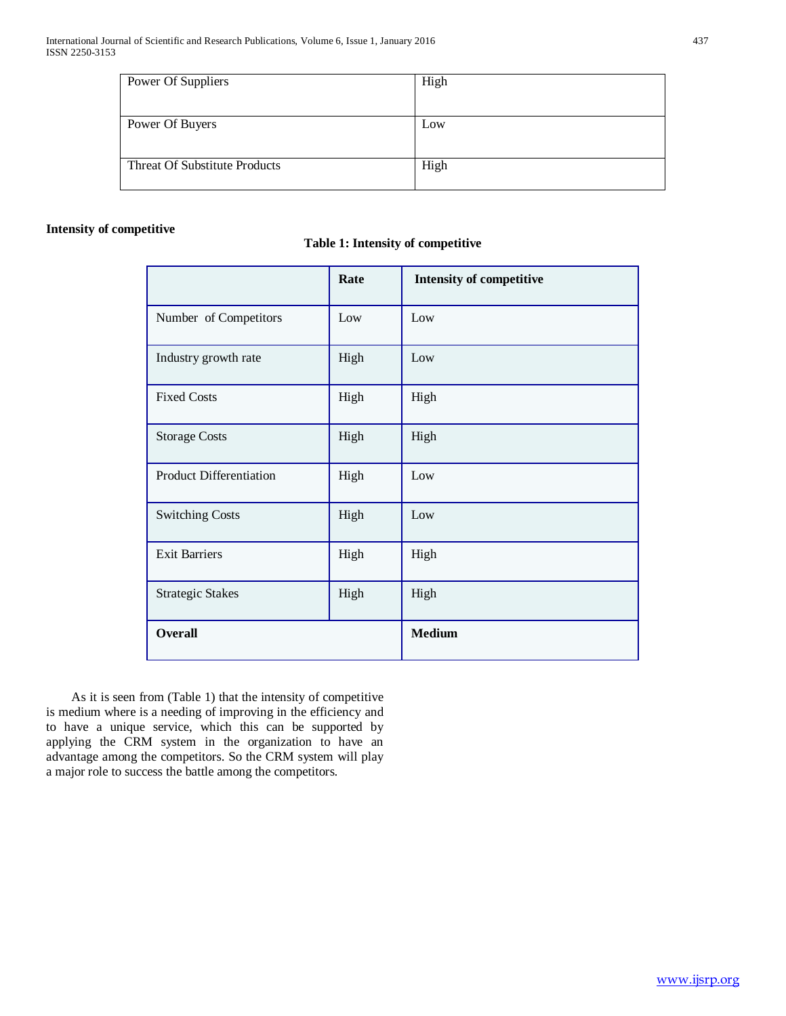| Power Of Suppliers                   | High |
|--------------------------------------|------|
|                                      |      |
|                                      |      |
| Power Of Buyers                      | Low  |
|                                      |      |
|                                      |      |
| <b>Threat Of Substitute Products</b> | High |
|                                      |      |
|                                      |      |

## **Intensity of competitive**

|                         | Rate | <b>Intensity of competitive</b> |
|-------------------------|------|---------------------------------|
| Number of Competitors   | Low  | Low                             |
| Industry growth rate    | High | Low                             |
| <b>Fixed Costs</b>      | High | High                            |
| <b>Storage Costs</b>    | High | High                            |
| Product Differentiation | High | Low                             |
| <b>Switching Costs</b>  | High | Low                             |
| <b>Exit Barriers</b>    | High | High                            |
| <b>Strategic Stakes</b> | High | High                            |
| <b>Overall</b>          |      | <b>Medium</b>                   |

## **Table 1: Intensity of competitive**

 As it is seen from (Table 1) that the intensity of competitive is medium where is a needing of improving in the efficiency and to have a unique service, which this can be supported by applying the CRM system in the organization to have an advantage among the competitors. So the CRM system will play a major role to success the battle among the competitors.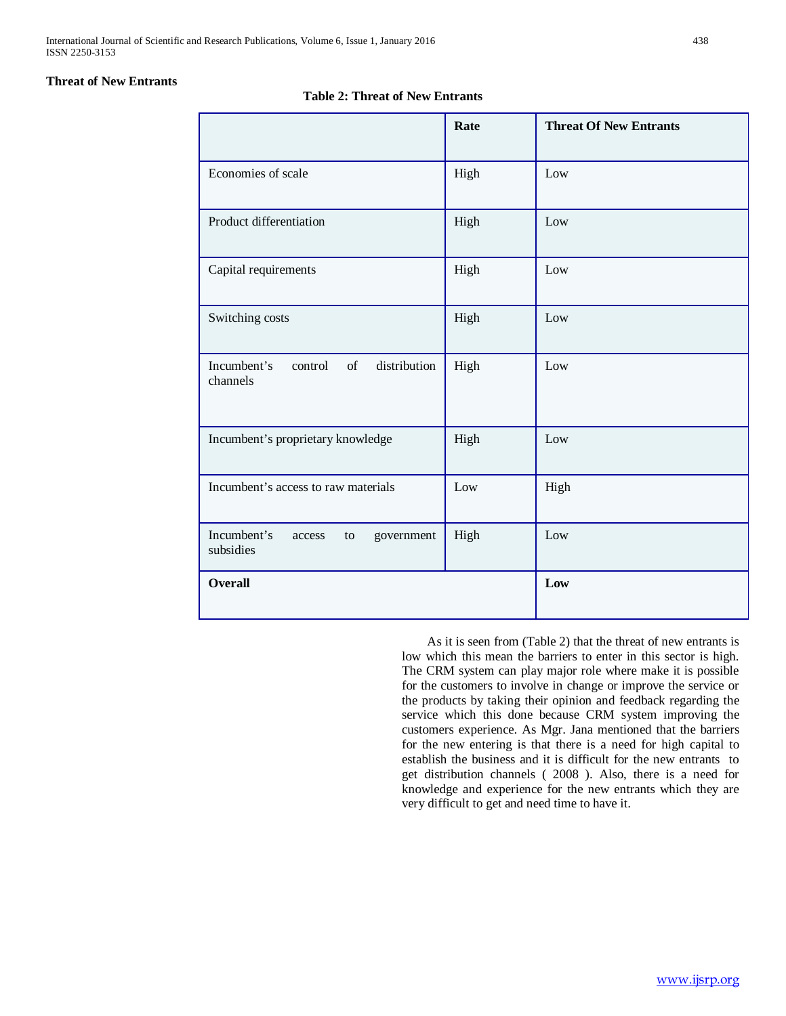## **Threat of New Entrants**

# **Table 2: Threat of New Entrants**

|                                                          | Rate | <b>Threat Of New Entrants</b> |
|----------------------------------------------------------|------|-------------------------------|
| Economies of scale                                       | High | Low                           |
| Product differentiation                                  | High | Low                           |
| Capital requirements                                     | High | Low                           |
| Switching costs                                          | High | Low                           |
| distribution<br>Incumbent's<br>of<br>control<br>channels | High | Low                           |
| Incumbent's proprietary knowledge                        | High | Low                           |
| Incumbent's access to raw materials                      | Low  | High                          |
| Incumbent's<br>government<br>access<br>to<br>subsidies   | High | Low                           |
| <b>Overall</b>                                           |      | Low                           |

 As it is seen from (Table 2) that the threat of new entrants is low which this mean the barriers to enter in this sector is high. The CRM system can play major role where make it is possible for the customers to involve in change or improve the service or the products by taking their opinion and feedback regarding the service which this done because CRM system improving the customers experience. As Mgr. Jana mentioned that the barriers for the new entering is that there is a need for high capital to establish the business and it is difficult for the new entrants to get distribution channels ( 2008 ). Also, there is a need for knowledge and experience for the new entrants which they are very difficult to get and need time to have it.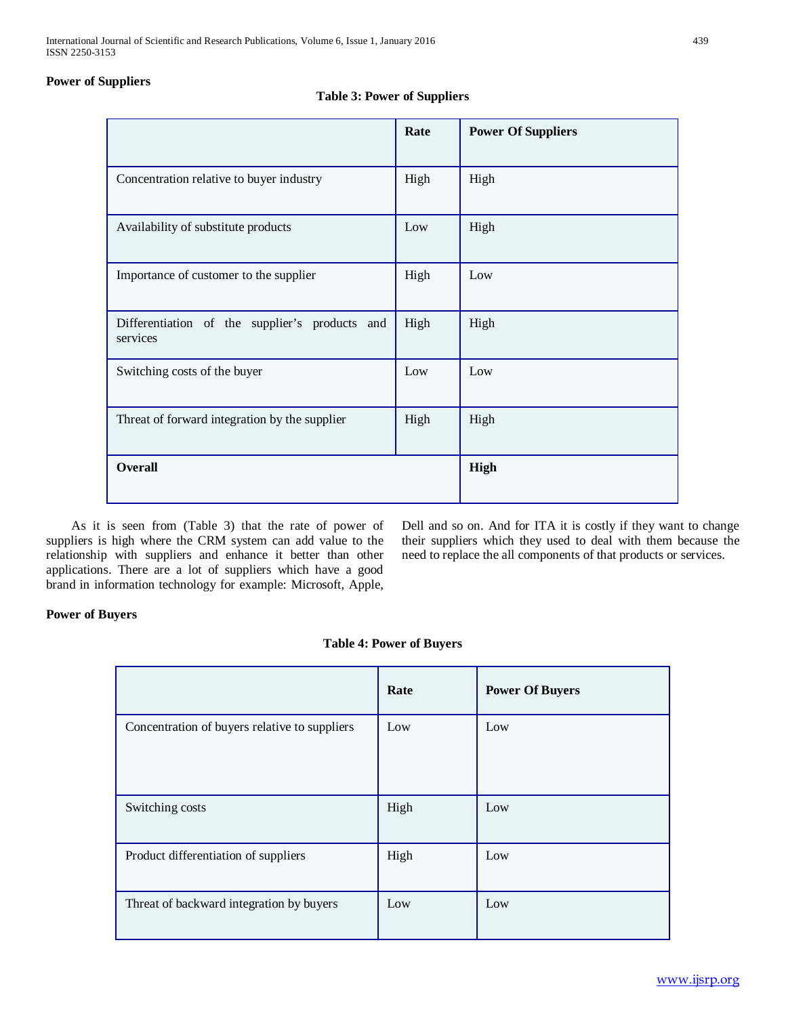# **Power of Suppliers**

# **Table 3: Power of Suppliers**

|                                                            | Rate | <b>Power Of Suppliers</b> |
|------------------------------------------------------------|------|---------------------------|
| Concentration relative to buyer industry                   | High | High                      |
| Availability of substitute products                        | Low  | High                      |
| Importance of customer to the supplier                     | High | Low                       |
| Differentiation of the supplier's products and<br>services | High | High                      |
| Switching costs of the buyer                               | Low  | Low                       |
| Threat of forward integration by the supplier              | High | High                      |
| <b>Overall</b>                                             |      | <b>High</b>               |

 As it is seen from (Table 3) that the rate of power of suppliers is high where the CRM system can add value to the relationship with suppliers and enhance it better than other applications. There are a lot of suppliers which have a good brand in information technology for example: Microsoft, Apple, Dell and so on. And for ITA it is costly if they want to change their suppliers which they used to deal with them because the need to replace the all components of that products or services.

#### **Power of Buyers**

## **Table 4: Power of Buyers**

|                                               | Rate | <b>Power Of Buyers</b> |
|-----------------------------------------------|------|------------------------|
| Concentration of buyers relative to suppliers | Low  | Low                    |
| Switching costs                               | High | Low                    |
| Product differentiation of suppliers          | High | Low                    |
| Threat of backward integration by buyers      | Low  | Low                    |